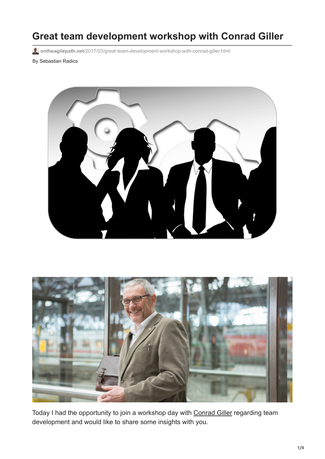# **Great team development workshop with Conrad Giller**

**ontheagilepath.net**[/2017/03/great-team-development-workshop-with-conrad-giller.html](https://www.ontheagilepath.net/2017/03/great-team-development-workshop-with-conrad-giller.html)

By Sebastian Radics





Today I had the opportunity to join a workshop day with [Conrad Giller](http://www.conradgiller.de/) regarding team development and would like to share some insights with you.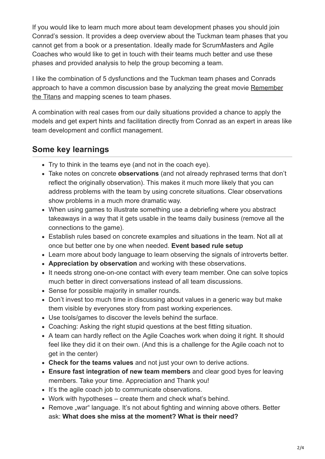If you would like to learn much more about team development phases you should join Conrad's session. It provides a deep overview about the Tuckman team phases that you cannot get from a book or a presentation. Ideally made for ScrumMasters and Agile Coaches who would like to get in touch with their teams much better and use these phases and provided analysis to help the group becoming a team.

I like the combination of 5 dysfunctions and the Tuckman team phases and Conrads [approach to have a common discussion base by analyzing the great movie Remember](https://en.wikipedia.org/wiki/Remember_the_Titans) the Titans and mapping scenes to team phases.

A combination with real cases from our daily situations provided a chance to apply the models and get expert hints and facilitation directly from Conrad as an expert in areas like team development and conflict management.

## **Some key learnings**

- Try to think in the teams eye (and not in the coach eye).
- Take notes on concrete **observations** (and not already rephrased terms that don't reflect the originally observation). This makes it much more likely that you can address problems with the team by using concrete situations. Clear observations show problems in a much more dramatic way.
- When using games to illustrate something use a debriefing where you abstract takeaways in a way that it gets usable in the teams daily business (remove all the connections to the game).
- Establish rules based on concrete examples and situations in the team. Not all at once but better one by one when needed. **Event based rule setup**
- Learn more about body language to learn observing the signals of introverts better.
- **Appreciation by observation** and working with these observations.
- It needs strong one-on-one contact with every team member. One can solve topics much better in direct conversations instead of all team discussions.
- Sense for possible majority in smaller rounds.
- Don't invest too much time in discussing about values in a generic way but make them visible by everyones story from past working experiences.
- Use tools/games to discover the levels behind the surface.
- Coaching: Asking the right stupid questions at the best fitting situation.
- A team can hardly reflect on the Agile Coaches work when doing it right. It should feel like they did it on their own. (And this is a challenge for the Agile coach not to get in the center)
- **Check for the teams values** and not just your own to derive actions.
- **Ensure fast integration of new team members** and clear good byes for leaving members. Take your time. Appreciation and Thank you!
- It's the agile coach job to communicate observations.
- Work with hypotheses create them and check what's behind.
- Remove "war" language. It's not about fighting and winning above others. Better ask: **What does she miss at the moment? What is their need?**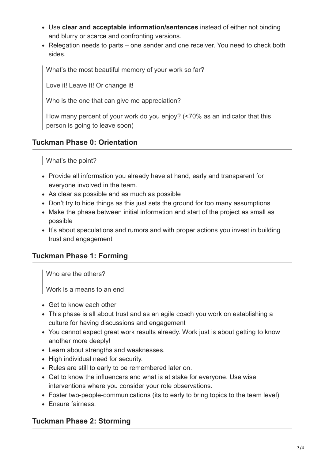- Use **clear and acceptable information/sentences** instead of either not binding and blurry or scarce and confronting versions.
- Relegation needs to parts one sender and one receiver. You need to check both sides.

What's the most beautiful memory of your work so far?

Love it! Leave It! Or change it!

Who is the one that can give me appreciation?

How many percent of your work do you enjoy? (<70% as an indicator that this person is going to leave soon)

#### **Tuckman Phase 0: Orientation**

What's the point?

- Provide all information you already have at hand, early and transparent for everyone involved in the team.
- As clear as possible and as much as possible
- Don't try to hide things as this just sets the ground for too many assumptions
- Make the phase between initial information and start of the project as small as possible
- It's about speculations and rumors and with proper actions you invest in building trust and engagement

#### **Tuckman Phase 1: Forming**

Who are the others?

Work is a means to an end

- Get to know each other
- This phase is all about trust and as an agile coach you work on establishing a culture for having discussions and engagement
- You cannot expect great work results already. Work just is about getting to know another more deeply!
- Learn about strengths and weaknesses.
- High individual need for security.
- Rules are still to early to be remembered later on.
- Get to know the influencers and what is at stake for everyone. Use wise interventions where you consider your role observations.
- Foster two-people-communications (its to early to bring topics to the team level)
- Fnsure fairness

#### **Tuckman Phase 2: Storming**